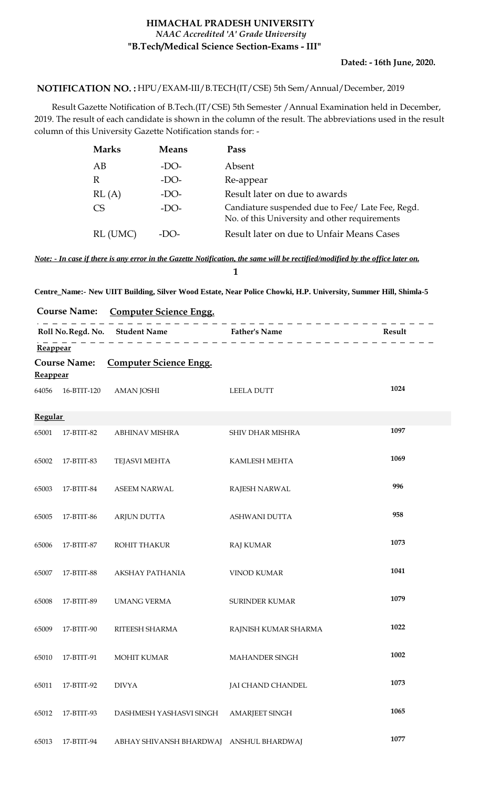## **HIMACHAL PRADESH UNIVERSITY "B.Tech/Medical Science Section-Exams - III"** *NAAC Accredited 'A' Grade University*

## HPU/EXAM-III/B.TECH(IT/CSE) 5th Sem/Annual/December, 2019 **NOTIFICATION NO. :**

 Result Gazette Notification of B.Tech.(IT/CSE) 5th Semester /Annual Examination held in December, 2019. The result of each candidate is shown in the column of the result. The abbreviations used in the result column of this University Gazette Notification stands for: -

| <b>Marks</b> | <b>Means</b> | Pass                                                                                              |
|--------------|--------------|---------------------------------------------------------------------------------------------------|
| АB           | $-DO-$       | Absent                                                                                            |
| R            | $-DO-$       | Re-appear                                                                                         |
| RL(A)        | $-DO-$       | Result later on due to awards                                                                     |
| CS           | $-DO-$       | Candiature suspended due to Fee/ Late Fee, Regd.<br>No. of this University and other requirements |
| RL (UMC)     | $-1$ O-      | Result later on due to Unfair Means Cases                                                         |

*Note: - In case if there is any error in the Gazette Notification, the same will be rectified/modified by the office later on.* **1**

**Centre\_Name:- New UIIT Building, Silver Wood Estate, Near Police Chowki, H.P. University, Summer Hill, Shimla-5**

**Course Name: Computer Science Engg.**

|                                                                              |             |                         | Roll No. Regd. No. Student Name<br>$\frac{1}{2}$ Father's Name<br>$\frac{1}{2}$ Father's Name | Result |
|------------------------------------------------------------------------------|-------------|-------------------------|-----------------------------------------------------------------------------------------------|--------|
| Reappear<br><b>Computer Science Engg.</b><br><b>Course Name:</b><br>Reappear |             |                         |                                                                                               |        |
| 64056                                                                        | 16-BTIT-120 | <b>AMAN JOSHI</b>       | <b>LEELA DUTT</b>                                                                             | 1024   |
| <b>Regular</b>                                                               |             |                         |                                                                                               |        |
| 65001                                                                        | 17-BTIT-82  | ABHINAV MISHRA          | SHIV DHAR MISHRA                                                                              | 1097   |
| 65002                                                                        | 17-BTIT-83  | <b>TEJASVI MEHTA</b>    | KAMLESH MEHTA                                                                                 | 1069   |
| 65003                                                                        | 17-BTIT-84  | <b>ASEEM NARWAL</b>     | <b>RAJESH NARWAL</b>                                                                          | 996    |
| 65005                                                                        | 17-BTIT-86  | <b>ARJUN DUTTA</b>      | <b>ASHWANI DUTTA</b>                                                                          | 958    |
| 65006                                                                        | 17-BTIT-87  | ROHIT THAKUR            | <b>RAJ KUMAR</b>                                                                              | 1073   |
| 65007                                                                        | 17-BTIT-88  | AKSHAY PATHANIA         | <b>VINOD KUMAR</b>                                                                            | 1041   |
| 65008                                                                        | 17-BTIT-89  | <b>UMANG VERMA</b>      | <b>SURINDER KUMAR</b>                                                                         | 1079   |
| 65009                                                                        | 17-BTIT-90  | RITEESH SHARMA          | RAJNISH KUMAR SHARMA                                                                          | 1022   |
| 65010                                                                        | 17-BTIT-91  | <b>MOHIT KUMAR</b>      | <b>MAHANDER SINGH</b>                                                                         | 1002   |
| 65011                                                                        | 17-BTIT-92  | <b>DIVYA</b>            | <b>JAI CHAND CHANDEL</b>                                                                      | 1073   |
| 65012                                                                        | 17-BTIT-93  | DASHMESH YASHASVI SINGH | <b>AMARJEET SINGH</b>                                                                         | 1065   |
| 65013                                                                        | 17-BTIT-94  | ABHAY SHIVANSH BHARDWAJ | <b>ANSHUL BHARDWAJ</b>                                                                        | 1077   |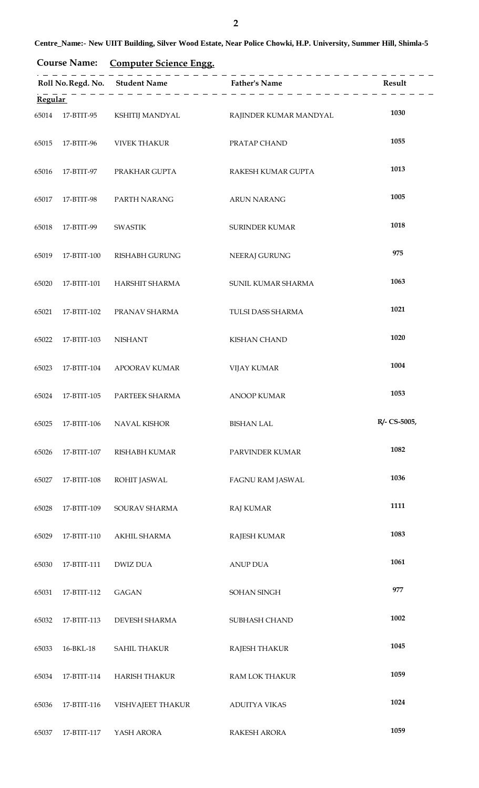**Course Name: Computer Science Engg.**

|         |                  |                      | -------------------------------- |              |
|---------|------------------|----------------------|----------------------------------|--------------|
| Regular |                  |                      |                                  |              |
|         | 65014 17-BTIT-95 | KSHITIJ MANDYAL      | RAJINDER KUMAR MANDYAL           | 1030         |
| 65015   | 17-BTIT-96       | <b>VIVEK THAKUR</b>  | PRATAP CHAND                     | 1055         |
| 65016   | 17-BTIT-97       | PRAKHAR GUPTA        | RAKESH KUMAR GUPTA               | 1013         |
| 65017   | 17-BTIT-98       | PARTH NARANG         | <b>ARUN NARANG</b>               | 1005         |
| 65018   | 17-BTIT-99       | <b>SWASTIK</b>       | <b>SURINDER KUMAR</b>            | 1018         |
| 65019   | 17-BTIT-100      | RISHABH GURUNG       | NEERAJ GURUNG                    | 975          |
| 65020   | 17-BTIT-101      | HARSHIT SHARMA       | SUNIL KUMAR SHARMA               | 1063         |
| 65021   | 17-BTIT-102      | PRANAV SHARMA        | TULSI DASS SHARMA                | 1021         |
| 65022   | 17-BTIT-103      | <b>NISHANT</b>       | <b>KISHAN CHAND</b>              | 1020         |
| 65023   | 17-BTIT-104      | <b>APOORAV KUMAR</b> | <b>VIJAY KUMAR</b>               | 1004         |
| 65024   | 17-BTIT-105      | PARTEEK SHARMA       | <b>ANOOP KUMAR</b>               | 1053         |
| 65025   | 17-BTIT-106      | <b>NAVAL KISHOR</b>  | <b>BISHAN LAL</b>                | R/- CS-5005, |
| 65026   | 17-BTIT-107      | <b>RISHABH KUMAR</b> | PARVINDER KUMAR                  | 1082         |
| 65027   | 17-BTIT-108      | ROHIT JASWAL         | FAGNU RAM JASWAL                 | 1036         |
| 65028   | 17-BTIT-109      | SOURAV SHARMA        | <b>RAJ KUMAR</b>                 | 1111         |
| 65029   | 17-BTIT-110      | AKHIL SHARMA         | RAJESH KUMAR                     | 1083         |
| 65030   | 17-BTIT-111      | <b>DWIZ DUA</b>      | <b>ANUP DUA</b>                  | 1061         |
| 65031   | 17-BTIT-112      | <b>GAGAN</b>         | SOHAN SINGH                      | 977          |
| 65032   | 17-BTIT-113      | DEVESH SHARMA        | SUBHASH CHAND                    | 1002         |
| 65033   | 16-BKL-18        | <b>SAHIL THAKUR</b>  | <b>RAJESH THAKUR</b>             | 1045         |
| 65034   | 17-BTIT-114      | <b>HARISH THAKUR</b> | RAM LOK THAKUR                   | 1059         |
| 65036   | 17-BTIT-116      | VISHVAJEET THAKUR    | <b>ADUITYA VIKAS</b>             | 1024         |
| 65037   | 17-BTIT-117      | YASH ARORA           | RAKESH ARORA                     | 1059         |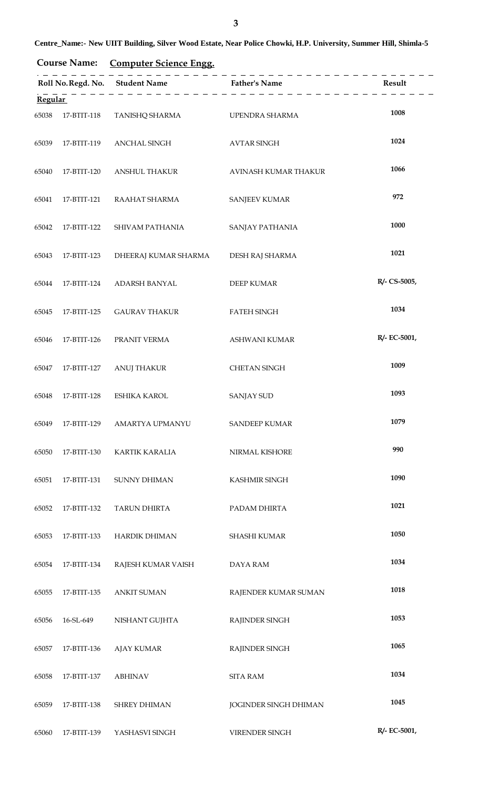**Course Name: Computer Science Engg.**

|                |             |                       |                              | Result       |
|----------------|-------------|-----------------------|------------------------------|--------------|
| <b>Regular</b> |             |                       |                              |              |
| 65038          | 17-BTIT-118 | <b>TANISHQ SHARMA</b> | UPENDRA SHARMA               | 1008         |
| 65039          | 17-BTIT-119 | ANCHAL SINGH          | <b>AVTAR SINGH</b>           | 1024         |
| 65040          | 17-BTIT-120 | <b>ANSHUL THAKUR</b>  | AVINASH KUMAR THAKUR         | 1066         |
| 65041          | 17-BTIT-121 | RAAHAT SHARMA         | <b>SANJEEV KUMAR</b>         | 972          |
| 65042          | 17-BTIT-122 | SHIVAM PATHANIA       | SANJAY PATHANIA              | 1000         |
| 65043          | 17-BTIT-123 | DHEERAJ KUMAR SHARMA  | DESH RAJ SHARMA              | 1021         |
| 65044          | 17-BTIT-124 | ADARSH BANYAL         | <b>DEEP KUMAR</b>            | R/- CS-5005, |
| 65045          | 17-BTIT-125 | <b>GAURAV THAKUR</b>  | <b>FATEH SINGH</b>           | 1034         |
| 65046          | 17-BTIT-126 | PRANIT VERMA          | ASHWANI KUMAR                | R/- EC-5001, |
| 65047          | 17-BTIT-127 | <b>ANUJ THAKUR</b>    | <b>CHETAN SINGH</b>          | 1009         |
| 65048          | 17-BTIT-128 | <b>ESHIKA KAROL</b>   | <b>SANJAY SUD</b>            | 1093         |
| 65049          | 17-BTIT-129 | AMARTYA UPMANYU       | <b>SANDEEP KUMAR</b>         | 1079         |
| 65050          | 17-BTIT-130 | KARTIK KARALIA        | NIRMAL KISHORE               | 990          |
| 65051          | 17-BTIT-131 | SUNNY DHIMAN          | KASHMIR SINGH                | 1090         |
| 65052          | 17-BTIT-132 | <b>TARUN DHIRTA</b>   | PADAM DHIRTA                 | 1021         |
| 65053          | 17-BTIT-133 | <b>HARDIK DHIMAN</b>  | SHASHI KUMAR                 | 1050         |
| 65054          | 17-BTIT-134 | RAJESH KUMAR VAISH    | <b>DAYA RAM</b>              | 1034         |
| 65055          | 17-BTIT-135 | <b>ANKIT SUMAN</b>    | RAJENDER KUMAR SUMAN         | 1018         |
| 65056          | 16-SL-649   | NISHANT GUJHTA        | <b>RAJINDER SINGH</b>        | 1053         |
| 65057          | 17-BTIT-136 | <b>AJAY KUMAR</b>     | <b>RAJINDER SINGH</b>        | 1065         |
| 65058          | 17-BTIT-137 | <b>ABHINAV</b>        | <b>SITA RAM</b>              | 1034         |
| 65059          | 17-BTIT-138 | SHREY DHIMAN          | <b>JOGINDER SINGH DHIMAN</b> | 1045         |
| 65060          | 17-BTIT-139 | YASHASVI SINGH        | VIRENDER SINGH               | R/- EC-5001, |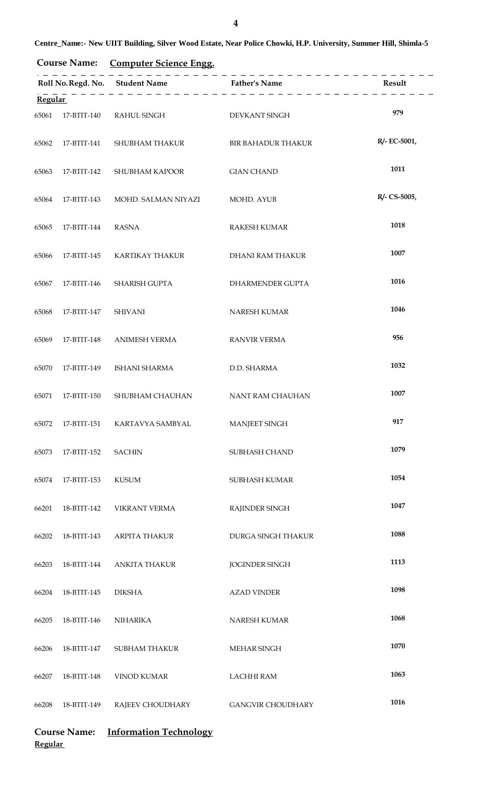| <b>Course Name:</b> | <b>Computer Science Engg.</b> |  |
|---------------------|-------------------------------|--|
|                     |                               |  |

|       |                            |                      |                           | Result       |
|-------|----------------------------|----------------------|---------------------------|--------------|
|       | $\frac{1}{\text{Regular}}$ |                      |                           |              |
| 65061 | 17-BTIT-140                | RAHUL SINGH          | DEVKANT SINGH             | 979          |
| 65062 | 17-BTIT-141                | SHUBHAM THAKUR       | <b>BIR BAHADUR THAKUR</b> | R/- EC-5001, |
| 65063 | 17-BTIT-142                | SHUBHAM KAPOOR       | <b>GIAN CHAND</b>         | 1011         |
| 65064 | 17-BTIT-143                | MOHD. SALMAN NIYAZI  | MOHD. AYUB                | R/- CS-5005, |
| 65065 | 17-BTIT-144                | <b>RASNA</b>         | <b>RAKESH KUMAR</b>       | 1018         |
| 65066 | 17-BTIT-145                | KARTIKAY THAKUR      | <b>DHANI RAM THAKUR</b>   | 1007         |
| 65067 | 17-BTIT-146                | SHARISH GUPTA        | DHARMENDER GUPTA          | 1016         |
| 65068 | 17-BTIT-147                | <b>SHIVANI</b>       | NARESH KUMAR              | 1046         |
| 65069 | 17-BTIT-148                | <b>ANIMESH VERMA</b> | <b>RANVIR VERMA</b>       | 956          |
| 65070 | 17-BTIT-149                | ISHANI SHARMA        | D.D. SHARMA               | 1032         |
| 65071 | 17-BTIT-150                | SHUBHAM CHAUHAN      | NANT RAM CHAUHAN          | 1007         |
| 65072 | 17-BTIT-151                | KARTAVYA SAMBYAL     | MANJEET SINGH             | 917          |
| 65073 | 17-BTIT-152                | <b>SACHIN</b>        | SUBHASH CHAND             | 1079         |
| 65074 | 17-BTIT-153                | <b>KUSUM</b>         | SUBHASH KUMAR             | 1054         |
| 66201 | 18-BTIT-142                | <b>VIKRANT VERMA</b> | RAJINDER SINGH            | 1047         |
| 66202 | 18-BTIT-143                | <b>ARPITA THAKUR</b> | DURGA SINGH THAKUR        | 1088         |
| 66203 | 18-BTIT-144                | <b>ANKITA THAKUR</b> | <b>JOGINDER SINGH</b>     | 1113         |
| 66204 | 18-BTIT-145                | <b>DIKSHA</b>        | <b>AZAD VINDER</b>        | 1098         |
| 66205 | 18-BTIT-146                | <b>NIHARIKA</b>      | NARESH KUMAR              | 1068         |
| 66206 | 18-BTIT-147                | <b>SUBHAM THAKUR</b> | MEHAR SINGH               | 1070         |
| 66207 | 18-BTIT-148                | <b>VINOD KUMAR</b>   | <b>LACHHI RAM</b>         | 1063         |
| 66208 | 18-BTIT-149                | RAJEEV CHOUDHARY     | <b>GANGVIR CHOUDHARY</b>  | 1016         |

## **Course Name: Information Technology Regular**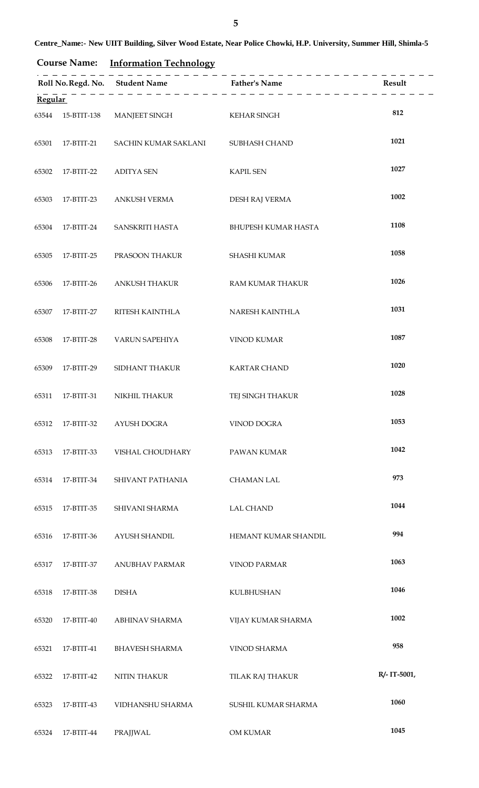**Course Name: Information Technology**

| <b>Regular</b> |            |                                               |                         |              |
|----------------|------------|-----------------------------------------------|-------------------------|--------------|
|                |            | 63544 15-BTIT-138 MANJEET SINGH               | <b>KEHAR SINGH</b>      | 812          |
| 65301          |            | 17-BTIT-21 SACHIN KUMAR SAKLANI SUBHASH CHAND |                         | 1021         |
| 65302          | 17-BTIT-22 | <b>ADITYA SEN</b>                             | <b>KAPIL SEN</b>        | 1027         |
| 65303          | 17-BTIT-23 | ANKUSH VERMA                                  | DESH RAJ VERMA          | 1002         |
| 65304          |            | 17-BTIT-24 SANSKRITI HASTA                    | BHUPESH KUMAR HASTA     | 1108         |
| 65305          |            | 17-BTIT-25 PRASOON THAKUR                     | <b>SHASHI KUMAR</b>     | 1058         |
| 65306          | 17-BTIT-26 | ANKUSH THAKUR                                 | RAM KUMAR THAKUR        | 1026         |
| 65307          | 17-BTIT-27 | RITESH KAINTHLA                               | NARESH KAINTHLA         | 1031         |
| 65308          | 17-BTIT-28 | <b>VARUN SAPEHIYA</b>                         | <b>VINOD KUMAR</b>      | 1087         |
| 65309          | 17-BTIT-29 | SIDHANT THAKUR                                | <b>KARTAR CHAND</b>     | 1020         |
| 65311          | 17-BTIT-31 | NIKHIL THAKUR                                 | TEJ SINGH THAKUR        | 1028         |
| 65312          | 17-BTIT-32 | AYUSH DOGRA                                   | <b>VINOD DOGRA</b>      | 1053         |
| 65313          | 17-BTIT-33 | VISHAL CHOUDHARY                              | <b>PAWAN KUMAR</b>      | 1042         |
| 65314          | 17-BTIT-34 | SHIVANT PATHANIA                              | <b>CHAMAN LAL</b>       | 973          |
| 65315          | 17-BTIT-35 | SHIVANI SHARMA                                | <b>LAL CHAND</b>        | 1044         |
| 65316          | 17-BTIT-36 | AYUSH SHANDIL                                 | HEMANT KUMAR SHANDIL    | 994          |
| 65317          | 17-BTIT-37 | ANUBHAV PARMAR                                | <b>VINOD PARMAR</b>     | 1063         |
| 65318          | 17-BTIT-38 | <b>DISHA</b>                                  | KULBHUSHAN              | 1046         |
| 65320          | 17-BTIT-40 | ABHINAV SHARMA                                | VIJAY KUMAR SHARMA      | 1002         |
| 65321          | 17-BTIT-41 | <b>BHAVESH SHARMA</b>                         | <b>VINOD SHARMA</b>     | 958          |
| 65322          | 17-BTIT-42 | <b>NITIN THAKUR</b>                           | <b>TILAK RAJ THAKUR</b> | R/- IT-5001, |
| 65323          | 17-BTIT-43 | VIDHANSHU SHARMA                              | SUSHIL KUMAR SHARMA     | 1060         |
| 65324          | 17-BTIT-44 | PRAJJWAL                                      | OM KUMAR                | 1045         |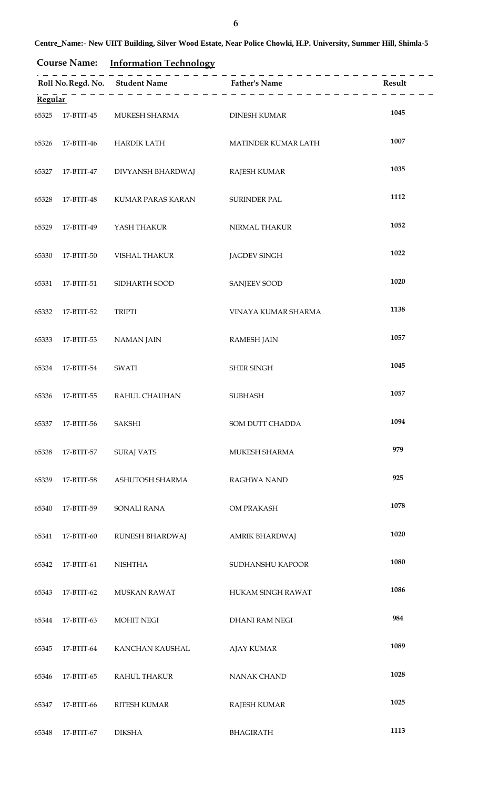**Course Name: Information Technology**

| <b>Regular</b> |            |                              |                     |      |
|----------------|------------|------------------------------|---------------------|------|
| 65325          |            | 17-BTIT-45 MUKESH SHARMA     | <b>DINESH KUMAR</b> | 1045 |
| 65326          |            |                              | MATINDER KUMAR LATH | 1007 |
| 65327          |            | 17-BTIT-47 DIVYANSH BHARDWAJ | <b>RAJESH KUMAR</b> | 1035 |
| 65328          | 17-BTIT-48 | KUMAR PARAS KARAN            | <b>SURINDER PAL</b> | 1112 |
| 65329          | 17-BTIT-49 | YASH THAKUR                  | NIRMAL THAKUR       | 1052 |
| 65330          | 17-BTIT-50 | VISHAL THAKUR                | <b>JAGDEV SINGH</b> | 1022 |
| 65331          | 17-BTIT-51 | SIDHARTH SOOD                | <b>SANJEEV SOOD</b> | 1020 |
| 65332          | 17-BTIT-52 | <b>TRIPTI</b>                | VINAYA KUMAR SHARMA | 1138 |
| 65333          | 17-BTIT-53 | <b>NAMAN JAIN</b>            | <b>RAMESH JAIN</b>  | 1057 |
| 65334          | 17-BTIT-54 | SWATI                        | SHER SINGH          | 1045 |
| 65336          |            | 17-BTIT-55 RAHUL CHAUHAN     | <b>SUBHASH</b>      | 1057 |
| 65337          | 17-BTIT-56 | SAKSHI                       | SOM DUTT CHADDA     | 1094 |
| 65338          | 17-BTIT-57 | <b>SURAJ VATS</b>            | MUKESH SHARMA       | 979  |
| 65339          | 17-BTIT-58 | ASHUTOSH SHARMA              | <b>RAGHWA NAND</b>  | 925  |
| 65340          | 17-BTIT-59 | <b>SONALI RANA</b>           | OM PRAKASH          | 1078 |
| 65341          | 17-BTIT-60 | RUNESH BHARDWAJ              | AMRIK BHARDWAJ      | 1020 |
| 65342          | 17-BTIT-61 | <b>NISHTHA</b>               | SUDHANSHU KAPOOR    | 1080 |
| 65343          | 17-BTIT-62 | MUSKAN RAWAT                 | HUKAM SINGH RAWAT   | 1086 |
| 65344          | 17-BTIT-63 | <b>MOHIT NEGI</b>            | DHANI RAM NEGI      | 984  |
| 65345          | 17-BTIT-64 | KANCHAN KAUSHAL              | <b>AJAY KUMAR</b>   | 1089 |
| 65346          | 17-BTIT-65 | RAHUL THAKUR                 | <b>NANAK CHAND</b>  | 1028 |
| 65347          | 17-BTIT-66 | RITESH KUMAR                 | <b>RAJESH KUMAR</b> | 1025 |
| 65348          | 17-BTIT-67 | <b>DIKSHA</b>                | BHAGIRATH           | 1113 |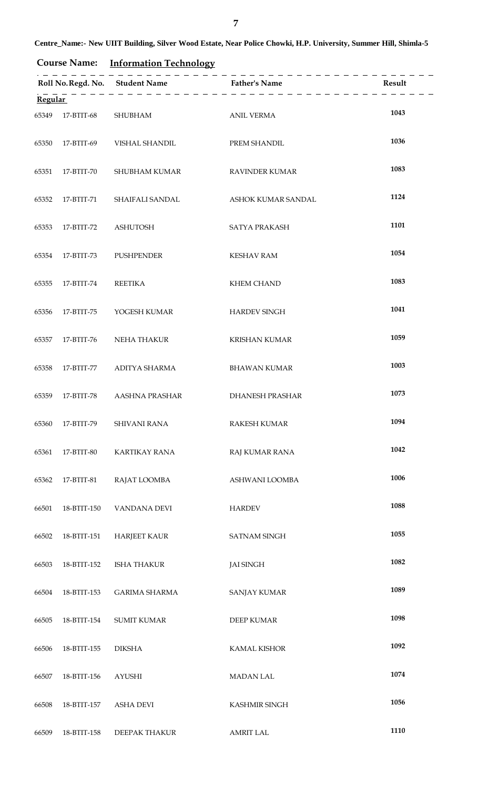**Course Name: Information Technology**

| <b>Regular</b> |                           |                                  |                        |      |
|----------------|---------------------------|----------------------------------|------------------------|------|
|                | 65349 17-BTIT-68 SHUBHAM  |                                  | <b>ANIL VERMA</b>      | 1043 |
|                |                           | 65350 17-BTIT-69 VISHAL SHANDIL  | PREM SHANDIL           | 1036 |
|                |                           | 65351 17-BTIT-70 SHUBHAM KUMAR   | <b>RAVINDER KUMAR</b>  | 1083 |
|                |                           | 65352 17-BTIT-71 SHAIFALI SANDAL | ASHOK KUMAR SANDAL     | 1124 |
|                | 65353 17-BTIT-72 ASHUTOSH |                                  | <b>SATYA PRAKASH</b>   | 1101 |
|                |                           | 65354 17-BTIT-73 PUSHPENDER      | <b>KESHAV RAM</b>      | 1054 |
| 65355          | 17-BTIT-74 REETIKA        |                                  | <b>KHEM CHAND</b>      | 1083 |
| 65356          |                           | 17-BTIT-75 YOGESH KUMAR          | <b>HARDEV SINGH</b>    | 1041 |
| 65357          |                           | 17-BTIT-76 NEHA THAKUR           | <b>KRISHAN KUMAR</b>   | 1059 |
| 65358          |                           | 17-BTIT-77 ADITYA SHARMA         | <b>BHAWAN KUMAR</b>    | 1003 |
| 65359          |                           | 17-BTIT-78 AASHNA PRASHAR        | <b>DHANESH PRASHAR</b> | 1073 |
| 65360          | 17-BTIT-79                | <b>SHIVANI RANA</b>              | <b>RAKESH KUMAR</b>    | 1094 |
| 65361          | 17-BTIT-80                | <b>KARTIKAY RANA</b>             | RAJ KUMAR RANA         | 1042 |
| 65362          | 17-BTIT-81                | RAJAT LOOMBA                     | ASHWANI LOOMBA         | 1006 |
| 66501          | 18-BTIT-150               | VANDANA DEVI                     | <b>HARDEV</b>          | 1088 |
| 66502          | 18-BTIT-151               | <b>HARJEET KAUR</b>              | <b>SATNAM SINGH</b>    | 1055 |
| 66503          | 18-BTIT-152               | <b>ISHA THAKUR</b>               | <b>JAI SINGH</b>       | 1082 |
| 66504          | 18-BTIT-153               | <b>GARIMA SHARMA</b>             | <b>SANJAY KUMAR</b>    | 1089 |
| 66505          | 18-BTIT-154               | <b>SUMIT KUMAR</b>               | <b>DEEP KUMAR</b>      | 1098 |
| 66506          | 18-BTIT-155               | <b>DIKSHA</b>                    | <b>KAMAL KISHOR</b>    | 1092 |
| 66507          | 18-BTIT-156               | <b>AYUSHI</b>                    | <b>MADAN LAL</b>       | 1074 |
| 66508          | 18-BTIT-157               | <b>ASHA DEVI</b>                 | KASHMIR SINGH          | 1056 |
| 66509          | 18-BTIT-158               | DEEPAK THAKUR                    | <b>AMRIT LAL</b>       | 1110 |